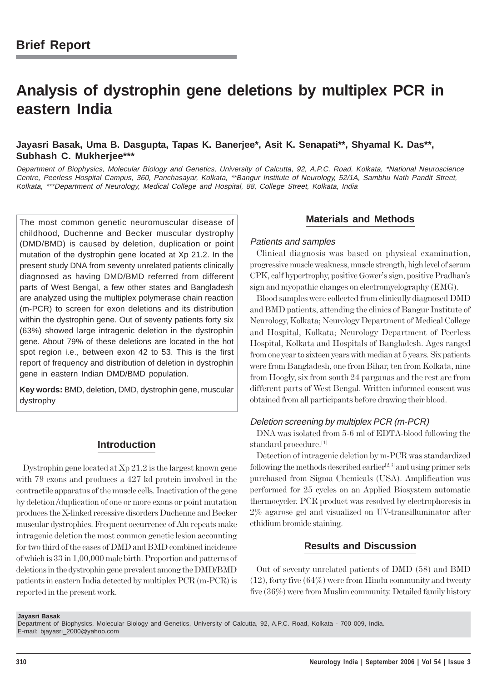# **Analysis of dystrophin gene deletions by multiplex PCR in eastern India**

# **Jayasri Basak, Uma B. Dasgupta, Tapas K. Banerjee\*, Asit K. Senapati\*\*, Shyamal K. Das\*\*, Subhash C. Mukherjee\*\*\***

Department of Biophysics, Molecular Biology and Genetics, University of Calcutta, 92, A.P.C. Road, Kolkata, \*National Neuroscience Centre, Peerless Hospital Campus, 360, Panchasayar, Kolkata, \*\*Bangur Institute of Neurology, 52/1A, Sambhu Nath Pandit Street, Kolkata, \*\*\*Department of Neurology, Medical College and Hospital, 88, College Street, Kolkata, India

The most common genetic neuromuscular disease of childhood, Duchenne and Becker muscular dystrophy (DMD/BMD) is caused by deletion, duplication or point mutation of the dystrophin gene located at Xp 21.2. In the present study DNA from seventy unrelated patients clinically diagnosed as having DMD/BMD referred from different parts of West Bengal, a few other states and Bangladesh are analyzed using the multiplex polymerase chain reaction (m-PCR) to screen for exon deletions and its distribution within the dystrophin gene. Out of seventy patients forty six (63%) showed large intragenic deletion in the dystrophin gene. About 79% of these deletions are located in the hot spot region i.e., between exon 42 to 53. This is the first report of frequency and distribution of deletion in dystrophin gene in eastern Indian DMD/BMD population.

**Key words:** BMD, deletion, DMD, dystrophin gene, muscular dystrophy

# **Introduction**

Dystrophin gene located at Xp 21.2 is the largest known gene with 79 exons and produces a 427 kd protein involved in the contractile apparatus of the muscle cells. Inactivation of the gene by deletion /duplication of one or more exons or point mutation produces the X-linked recessive disorders Duchenne and Becker muscular dystrophies. Frequent occurrence of Alu repeats make intragenic deletion the most common genetic lesion accounting for two third of the cases of DMD and BMD combined incidence of which is 33 in 1,00,000 male birth. Proportion and patterns of deletions in the dystrophin gene prevalent among the DMD/BMD patients in eastern India detected by multiplex PCR (m-PCR) is reported in the present work.

# **Materials and Methods**

### Patients and samples

Clinical diagnosis was based on physical examination, progressive muscle weakness, muscle strength, high level of serum CPK, calf hypertrophy, positive Gower's sign, positive Pradhan's sign and myopathic changes on electromyelography (EMG).

Blood samples were collected from clinically diagnosed DMD and BMD patients, attending the clinics of Bangur Institute of Neurology, Kolkata; Neurology Department of Medical College and Hospital, Kolkata; Neurology Department of Peerless Hospital, Kolkata and Hospitals of Bangladesh. Ages ranged from one year to sixteen years with median at 5 years. Six patients were from Bangladesh, one from Bihar, ten from Kolkata, nine from Hoogly, six from south 24 parganas and the rest are from different parts of West Bengal. Written informed consent was obtained from all participants before drawing their blood.

#### Deletion screening by multiplex PCR (m-PCR)

DNA was isolated from 5-6 ml of EDTA-blood following the standard procedure.<sup>[1]</sup>

Detection of intragenic deletion by m-PCR was standardized following the methods described earlier<sup>[2,3]</sup> and using primer sets purchased from Sigma Chemicals (USA). Amplification was performed for 25 cycles on an Applied Biosystem automatic thermocycler. PCR product was resolved by electrophoresis in 2% agarose gel and visualized on UV-transilluminator after ethidium bromide staining.

### **Results and Discussion**

Out of seventy unrelated patients of DMD (58) and BMD (12), forty five (64%) were from Hindu community and twenty five (36%) were from Muslim community. Detailed family history

#### **Jayasri Basak**

Department of Biophysics, Molecular Biology and Genetics, University of Calcutta, 92, A.P.C. Road, Kolkata - 700 009, India. E-mail: bjayasri\_2000@yahoo.com